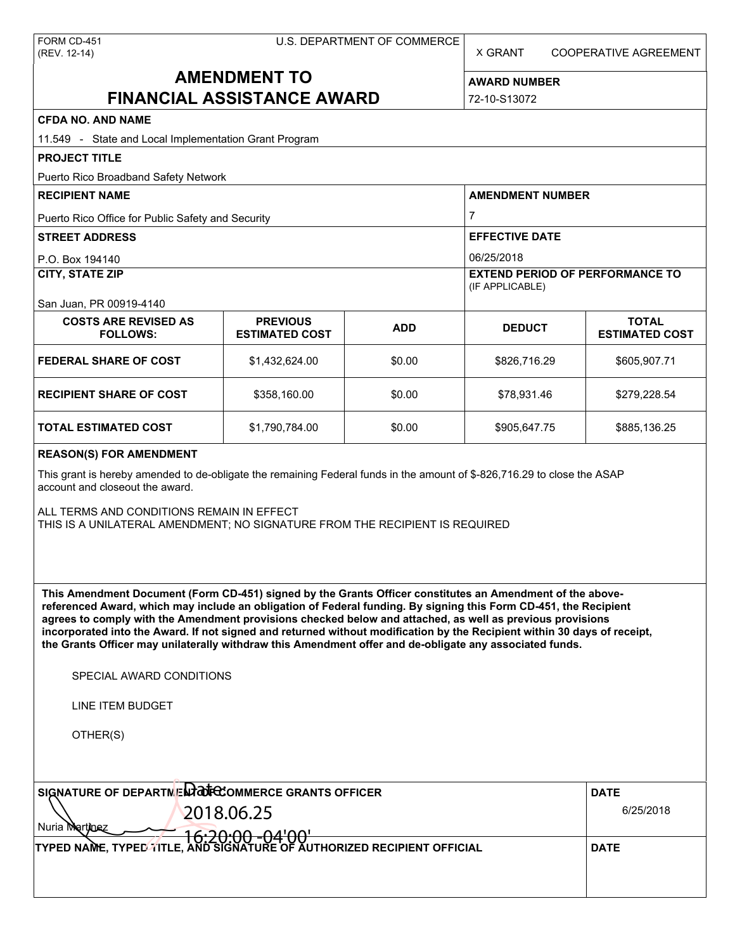X GRANT COOPERATIVE AGREEMENT

# **AMENDMENT TO FINANCIAL ASSISTANCE AWARD**

**AWARD NUMBER** 72-10-S13072

| <b>CFDA NO. AND NAME</b>                                                                                                                                                                                                                                                                                                                                                                                                                                                                                                                                                                                      |                                          |            |                                                           |                                       |  |  |  |
|---------------------------------------------------------------------------------------------------------------------------------------------------------------------------------------------------------------------------------------------------------------------------------------------------------------------------------------------------------------------------------------------------------------------------------------------------------------------------------------------------------------------------------------------------------------------------------------------------------------|------------------------------------------|------------|-----------------------------------------------------------|---------------------------------------|--|--|--|
| 11.549 - State and Local Implementation Grant Program                                                                                                                                                                                                                                                                                                                                                                                                                                                                                                                                                         |                                          |            |                                                           |                                       |  |  |  |
| <b>PROJECT TITLE</b>                                                                                                                                                                                                                                                                                                                                                                                                                                                                                                                                                                                          |                                          |            |                                                           |                                       |  |  |  |
| Puerto Rico Broadband Safety Network                                                                                                                                                                                                                                                                                                                                                                                                                                                                                                                                                                          |                                          |            |                                                           |                                       |  |  |  |
| <b>RECIPIENT NAME</b>                                                                                                                                                                                                                                                                                                                                                                                                                                                                                                                                                                                         |                                          |            | <b>AMENDMENT NUMBER</b>                                   |                                       |  |  |  |
| Puerto Rico Office for Public Safety and Security                                                                                                                                                                                                                                                                                                                                                                                                                                                                                                                                                             |                                          |            | 7                                                         |                                       |  |  |  |
| <b>STREET ADDRESS</b>                                                                                                                                                                                                                                                                                                                                                                                                                                                                                                                                                                                         |                                          |            | <b>EFFECTIVE DATE</b>                                     |                                       |  |  |  |
| P.O. Box 194140                                                                                                                                                                                                                                                                                                                                                                                                                                                                                                                                                                                               |                                          |            | 06/25/2018                                                |                                       |  |  |  |
| <b>CITY, STATE ZIP</b>                                                                                                                                                                                                                                                                                                                                                                                                                                                                                                                                                                                        |                                          |            | <b>EXTEND PERIOD OF PERFORMANCE TO</b><br>(IF APPLICABLE) |                                       |  |  |  |
| San Juan, PR 00919-4140                                                                                                                                                                                                                                                                                                                                                                                                                                                                                                                                                                                       |                                          |            |                                                           |                                       |  |  |  |
| <b>COSTS ARE REVISED AS</b><br><b>FOLLOWS:</b>                                                                                                                                                                                                                                                                                                                                                                                                                                                                                                                                                                | <b>PREVIOUS</b><br><b>ESTIMATED COST</b> | <b>ADD</b> | <b>DEDUCT</b>                                             | <b>TOTAL</b><br><b>ESTIMATED COST</b> |  |  |  |
| <b>FEDERAL SHARE OF COST</b>                                                                                                                                                                                                                                                                                                                                                                                                                                                                                                                                                                                  | \$1,432,624.00                           | \$0.00     | \$826,716.29                                              | \$605,907.71                          |  |  |  |
| <b>RECIPIENT SHARE OF COST</b>                                                                                                                                                                                                                                                                                                                                                                                                                                                                                                                                                                                | \$358,160.00                             | \$0.00     | \$78,931.46                                               | \$279,228.54                          |  |  |  |
| <b>TOTAL ESTIMATED COST</b>                                                                                                                                                                                                                                                                                                                                                                                                                                                                                                                                                                                   | \$1,790,784.00                           | \$0.00     | \$905,647.75                                              | \$885,136.25                          |  |  |  |
| <b>REASON(S) FOR AMENDMENT</b>                                                                                                                                                                                                                                                                                                                                                                                                                                                                                                                                                                                |                                          |            |                                                           |                                       |  |  |  |
| This grant is hereby amended to de-obligate the remaining Federal funds in the amount of \$-826,716.29 to close the ASAP<br>account and closeout the award.                                                                                                                                                                                                                                                                                                                                                                                                                                                   |                                          |            |                                                           |                                       |  |  |  |
| ALL TERMS AND CONDITIONS REMAIN IN EFFECT<br>THIS IS A UNILATERAL AMENDMENT; NO SIGNATURE FROM THE RECIPIENT IS REQUIRED                                                                                                                                                                                                                                                                                                                                                                                                                                                                                      |                                          |            |                                                           |                                       |  |  |  |
| This Amendment Document (Form CD-451) signed by the Grants Officer constitutes an Amendment of the above-<br>referenced Award, which may include an obligation of Federal funding. By signing this Form CD-451, the Recipient<br>agrees to comply with the Amendment provisions checked below and attached, as well as previous provisions<br>incorporated into the Award. If not signed and returned without modification by the Recipient within 30 days of receipt,<br>the Grants Officer may unilaterally withdraw this Amendment offer and de-obligate any associated funds.<br>SPECIAL AWARD CONDITIONS |                                          |            |                                                           |                                       |  |  |  |
|                                                                                                                                                                                                                                                                                                                                                                                                                                                                                                                                                                                                               |                                          |            |                                                           |                                       |  |  |  |
| LINE ITEM BUDGET                                                                                                                                                                                                                                                                                                                                                                                                                                                                                                                                                                                              |                                          |            |                                                           |                                       |  |  |  |
| OTHER(S)                                                                                                                                                                                                                                                                                                                                                                                                                                                                                                                                                                                                      |                                          |            |                                                           |                                       |  |  |  |
| SIGNATURE OF DEPARTMENT COMMERCE GRANTS OFFICER                                                                                                                                                                                                                                                                                                                                                                                                                                                                                                                                                               |                                          |            |                                                           | <b>DATE</b>                           |  |  |  |
| 2018.06.25                                                                                                                                                                                                                                                                                                                                                                                                                                                                                                                                                                                                    |                                          | 6/25/2018  |                                                           |                                       |  |  |  |
| Nuria Martinez<br><del>16:20:00 -04'00'</del>                                                                                                                                                                                                                                                                                                                                                                                                                                                                                                                                                                 |                                          |            |                                                           |                                       |  |  |  |
| TYPED NAME, TYPED TITLE, AND SIGNATURE OF AUTHORIZED RECIPIENT OFFICIAL                                                                                                                                                                                                                                                                                                                                                                                                                                                                                                                                       |                                          |            |                                                           | <b>DATE</b>                           |  |  |  |